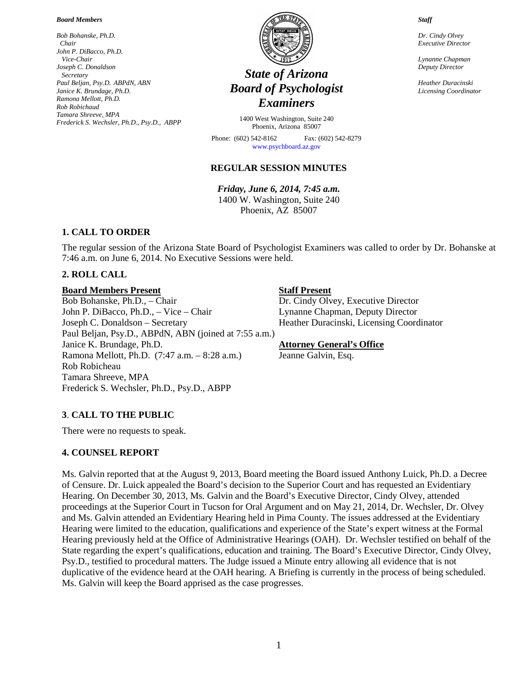#### *Board Members*

*Bob Bohanske, Ph.D. Chair John P. DiBacco, Ph.D. Vice-Chair Joseph C. Donaldson Secretary Paul Beljan, Psy.D. ABPdN, ABN Janice K. Brundage, Ph.D. Ramona Mellott, Ph.D. Rob Robichaud Tamara Shreeve, MPA Frederick S. Wechsler, Ph.D., Psy.D., ABPP* 



# *State of Arizona Board of Psychologist Examiners*

1400 West Washington, Suite 240 Phoenix, Arizona 85007

Phone: (602) 542-8162 Fax: (602) 542-8279 [www.psychboard.az.gov](http://www.psychboard.az.gov/)

### **REGULAR SESSION MINUTES**

*Friday, June 6, 2014, 7:45 a.m.*  1400 W. Washington, Suite 240 Phoenix, AZ 85007

### **1. CALL TO ORDER**

The regular session of the Arizona State Board of Psychologist Examiners was called to order by Dr. Bohanske at 7:46 a.m. on June 6, 2014. No Executive Sessions were held.

#### **2. ROLL CALL**

#### **Board Members Present Staff Present**

Bob Bohanske, Ph.D., – Chair Dr. Cindy Olvey, Executive Director John P. DiBacco, Ph.D., – Vice – Chair Lynanne Chapman, Deputy Director Joseph C. Donaldson – Secretary Heather Duracinski, Licensing Coordinator Paul Beljan, Psy.D., ABPdN, ABN (joined at 7:55 a.m.) Janice K. Brundage, Ph.D. **Attorney General's Office** Ramona Mellott, Ph.D. (7:47 a.m. – 8:28 a.m.) Jeanne Galvin, Esq. Rob Robicheau Tamara Shreeve, MPA Frederick S. Wechsler, Ph.D., Psy.D., ABPP

#### **3**. **CALL TO THE PUBLIC**

There were no requests to speak.

#### **4. COUNSEL REPORT**

Ms. Galvin reported that at the August 9, 2013, Board meeting the Board issued Anthony Luick, Ph.D. a Decree of Censure. Dr. Luick appealed the Board's decision to the Superior Court and has requested an Evidentiary Hearing. On December 30, 2013, Ms. Galvin and the Board's Executive Director, Cindy Olvey, attended proceedings at the Superior Court in Tucson for Oral Argument and on May 21, 2014, Dr. Wechsler, Dr. Olvey and Ms. Galvin attended an Evidentiary Hearing held in Pima County. The issues addressed at the Evidentiary Hearing were limited to the education, qualifications and experience of the State's expert witness at the Formal Hearing previously held at the Office of Administrative Hearings (OAH). Dr. Wechsler testified on behalf of the State regarding the expert's qualifications, education and training. The Board's Executive Director, Cindy Olvey, Psy.D., testified to procedural matters. The Judge issued a Minute entry allowing all evidence that is not duplicative of the evidence heard at the OAH hearing. A Briefing is currently in the process of being scheduled. Ms. Galvin will keep the Board apprised as the case progresses.

*Staff*

*Dr. Cindy Olvey Executive Director*

*Lynanne Chapman Deputy Director*

*Heather Duracinski Licensing Coordinator*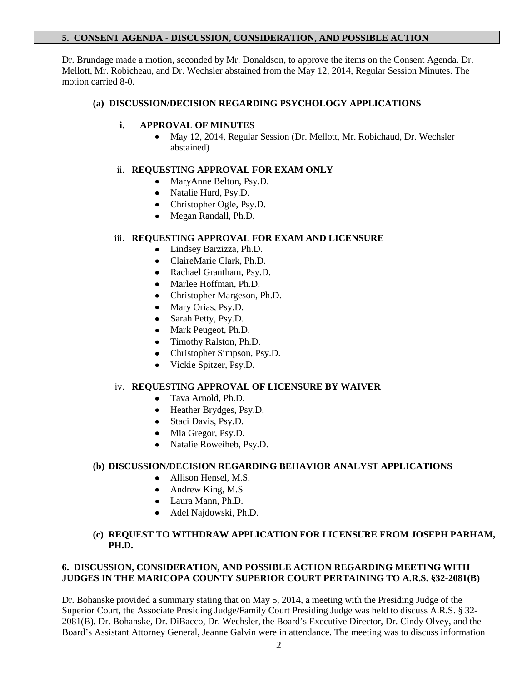## **5. CONSENT AGENDA - DISCUSSION, CONSIDERATION, AND POSSIBLE ACTION**

Dr. Brundage made a motion, seconded by Mr. Donaldson, to approve the items on the Consent Agenda. Dr. Mellott, Mr. Robicheau, and Dr. Wechsler abstained from the May 12, 2014, Regular Session Minutes. The motion carried 8-0.

#### **(a) DISCUSSION/DECISION REGARDING PSYCHOLOGY APPLICATIONS**

#### **i. APPROVAL OF MINUTES**

• May 12, 2014, Regular Session (Dr. Mellott, Mr. Robichaud, Dr. Wechsler abstained)

#### ii. **REQUESTING APPROVAL FOR EXAM ONLY**

- MaryAnne Belton, Psy.D.
- Natalie Hurd, Psy.D.
- Christopher Ogle, Psy.D.
- Megan Randall, Ph.D.

#### iii. **REQUESTING APPROVAL FOR EXAM AND LICENSURE**

- Lindsey Barzizza, Ph.D.
- ClaireMarie Clark, Ph.D.
- Rachael Grantham, Psy.D.
- Marlee Hoffman, Ph.D.
- Christopher Margeson, Ph.D.
- Mary Orias, Psy.D.
- Sarah Petty, Psy.D.
- Mark Peugeot, Ph.D.
- Timothy Ralston, Ph.D.
- Christopher Simpson, Psy.D.
- Vickie Spitzer, Psy.D.

#### iv. **REQUESTING APPROVAL OF LICENSURE BY WAIVER**

- Tava Arnold, Ph.D.
- Heather Brydges, Psy.D.
- Staci Davis, Psy.D.
- Mia Gregor, Psy.D.
- Natalie Roweiheb, Psy.D.

#### **(b) DISCUSSION/DECISION REGARDING BEHAVIOR ANALYST APPLICATIONS**

- Allison Hensel, M.S.
- Andrew King, M.S
- Laura Mann, Ph.D.
- Adel Najdowski, Ph.D.

#### **(c) REQUEST TO WITHDRAW APPLICATION FOR LICENSURE FROM JOSEPH PARHAM, PH.D.**

#### **6. DISCUSSION, CONSIDERATION, AND POSSIBLE ACTION REGARDING MEETING WITH JUDGES IN THE MARICOPA COUNTY SUPERIOR COURT PERTAINING TO A.R.S. §32-2081(B)**

Dr. Bohanske provided a summary stating that on May 5, 2014, a meeting with the Presiding Judge of the Superior Court, the Associate Presiding Judge/Family Court Presiding Judge was held to discuss A.R.S. § 32- 2081(B). Dr. Bohanske, Dr. DiBacco, Dr. Wechsler, the Board's Executive Director, Dr. Cindy Olvey, and the Board's Assistant Attorney General, Jeanne Galvin were in attendance. The meeting was to discuss information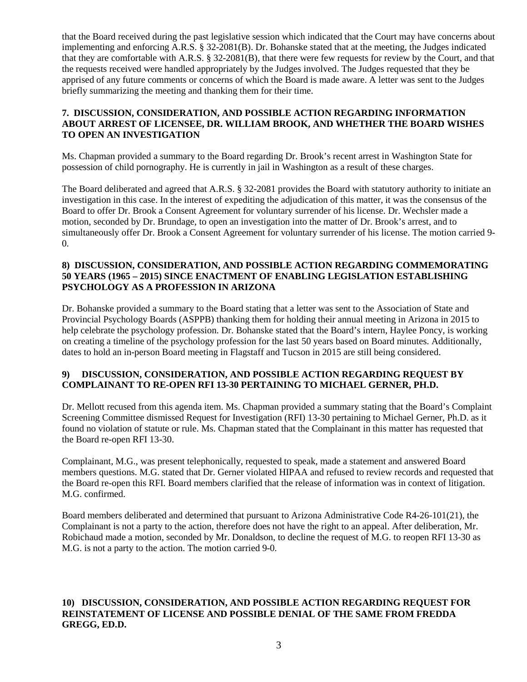that the Board received during the past legislative session which indicated that the Court may have concerns about implementing and enforcing A.R.S. § 32-2081(B). Dr. Bohanske stated that at the meeting, the Judges indicated that they are comfortable with A.R.S. § 32-2081(B), that there were few requests for review by the Court, and that the requests received were handled appropriately by the Judges involved. The Judges requested that they be apprised of any future comments or concerns of which the Board is made aware. A letter was sent to the Judges briefly summarizing the meeting and thanking them for their time.

### **7. DISCUSSION, CONSIDERATION, AND POSSIBLE ACTION REGARDING INFORMATION ABOUT ARREST OF LICENSEE, DR. WILLIAM BROOK, AND WHETHER THE BOARD WISHES TO OPEN AN INVESTIGATION**

Ms. Chapman provided a summary to the Board regarding Dr. Brook's recent arrest in Washington State for possession of child pornography. He is currently in jail in Washington as a result of these charges.

The Board deliberated and agreed that A.R.S. § 32-2081 provides the Board with statutory authority to initiate an investigation in this case. In the interest of expediting the adjudication of this matter, it was the consensus of the Board to offer Dr. Brook a Consent Agreement for voluntary surrender of his license. Dr. Wechsler made a motion, seconded by Dr. Brundage, to open an investigation into the matter of Dr. Brook's arrest, and to simultaneously offer Dr. Brook a Consent Agreement for voluntary surrender of his license. The motion carried 9- 0.

#### **8) DISCUSSION, CONSIDERATION, AND POSSIBLE ACTION REGARDING COMMEMORATING 50 YEARS (1965 – 2015) SINCE ENACTMENT OF ENABLING LEGISLATION ESTABLISHING PSYCHOLOGY AS A PROFESSION IN ARIZONA**

Dr. Bohanske provided a summary to the Board stating that a letter was sent to the Association of State and Provincial Psychology Boards (ASPPB) thanking them for holding their annual meeting in Arizona in 2015 to help celebrate the psychology profession. Dr. Bohanske stated that the Board's intern, Haylee Poncy, is working on creating a timeline of the psychology profession for the last 50 years based on Board minutes. Additionally, dates to hold an in-person Board meeting in Flagstaff and Tucson in 2015 are still being considered.

### **9) DISCUSSION, CONSIDERATION, AND POSSIBLE ACTION REGARDING REQUEST BY COMPLAINANT TO RE-OPEN RFI 13-30 PERTAINING TO MICHAEL GERNER, PH.D.**

Dr. Mellott recused from this agenda item. Ms. Chapman provided a summary stating that the Board's Complaint Screening Committee dismissed Request for Investigation (RFI) 13-30 pertaining to Michael Gerner, Ph.D. as it found no violation of statute or rule. Ms. Chapman stated that the Complainant in this matter has requested that the Board re-open RFI 13-30.

Complainant, M.G., was present telephonically, requested to speak, made a statement and answered Board members questions. M.G. stated that Dr. Gerner violated HIPAA and refused to review records and requested that the Board re-open this RFI. Board members clarified that the release of information was in context of litigation. M.G. confirmed.

Board members deliberated and determined that pursuant to Arizona Administrative Code R4-26-101(21), the Complainant is not a party to the action, therefore does not have the right to an appeal. After deliberation, Mr. Robichaud made a motion, seconded by Mr. Donaldson, to decline the request of M.G. to reopen RFI 13-30 as M.G. is not a party to the action. The motion carried 9-0.

## **10) DISCUSSION, CONSIDERATION, AND POSSIBLE ACTION REGARDING REQUEST FOR REINSTATEMENT OF LICENSE AND POSSIBLE DENIAL OF THE SAME FROM FREDDA GREGG, ED.D.**